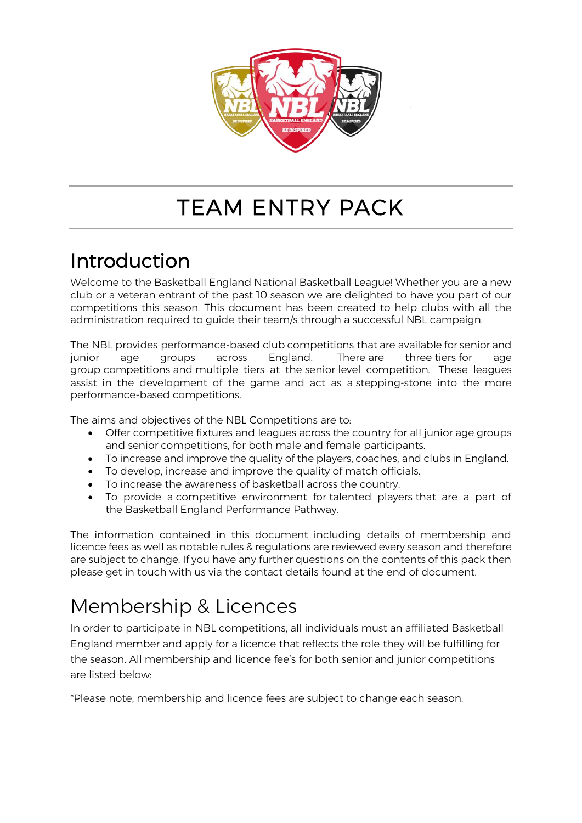

# TEAM ENTRY PACK

# Introduction

Welcome to the Basketball England National Basketball League! Whether you are a new club or a veteran entrant of the past 10 season we are delighted to have you part of our competitions this season. This document has been created to help clubs with all the administration required to guide their team/s through a successful NBL campaign.

The NBL provides performance-based club competitions that are available for senior and junior age groups across England. There are three tiers for age group competitions and multiple tiers at the senior level competition. These leagues assist in the development of the game and act as a stepping-stone into the more performance-based competitions.

The aims and objectives of the NBL Competitions are to:

- Offer competitive fixtures and leagues across the country for all junior age groups and senior competitions, for both male and female participants.
- To increase and improve the quality of the players, coaches, and clubs in England.
- To develop, increase and improve the quality of match officials.
- To increase the awareness of basketball across the country.
- To provide a competitive environment for talented players that are a part of the Basketball England Performance Pathway.

The information contained in this document including details of membership and licence fees as well as notable rules & regulations are reviewed every season and therefore are subject to change. If you have any further questions on the contents of this pack then please get in touch with us via the contact details found at the end of document.

# Membership & Licences

In order to participate in NBL competitions, all individuals must an affiliated Basketball England member and apply for a licence that reflects the role they will be fulfilling for the season. All membership and licence fee's for both senior and junior competitions are listed below:

\*Please note, membership and licence fees are subject to change each season.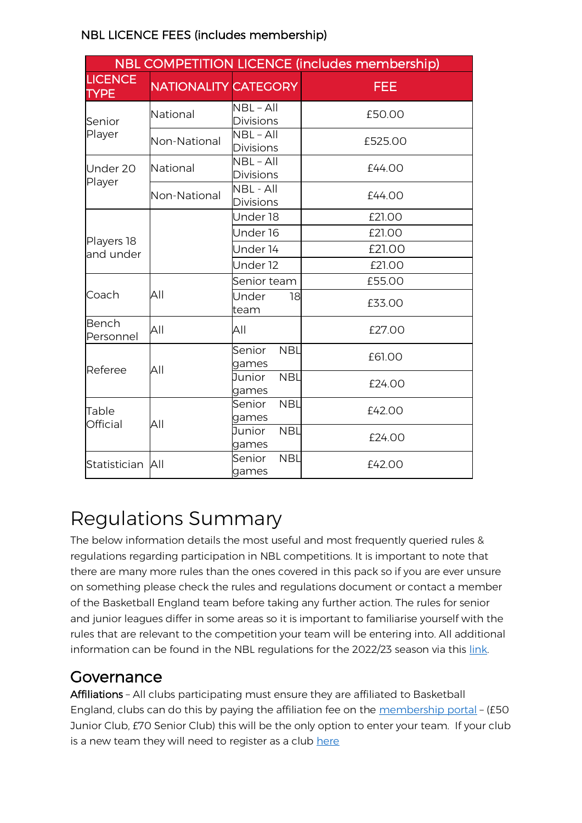|                               | <b>NBL COMPETITION LICENCE (includes membership)</b> |                                              |                                                                                                                                                                    |            |  |
|-------------------------------|------------------------------------------------------|----------------------------------------------|--------------------------------------------------------------------------------------------------------------------------------------------------------------------|------------|--|
| <b>LICENCE</b><br><b>TYPE</b> | <b>NATIONALITY CATEGORY</b>                          |                                              |                                                                                                                                                                    | <b>FEE</b> |  |
| Senior                        | National                                             | NBL-All<br><b>Divisions</b>                  |                                                                                                                                                                    | £50.00     |  |
| Player                        | Non-National                                         | $NBL - All$<br>Divisions                     |                                                                                                                                                                    | £525.00    |  |
| Under 20                      | National                                             | $NBL - All$<br><b>Divisions</b>              |                                                                                                                                                                    | £44.00     |  |
| Player                        | Non-National                                         | NBL - All<br><b>Divisions</b>                |                                                                                                                                                                    | £44.00     |  |
|                               |                                                      |                                              |                                                                                                                                                                    | £21.00     |  |
|                               |                                                      | Under 18<br>Under 16<br>Under 14<br>Under 12 | £21.00                                                                                                                                                             |            |  |
| Players 18<br>and under       |                                                      |                                              | £21.00                                                                                                                                                             |            |  |
|                               |                                                      |                                              | £21.00<br>£55.00<br>18<br>£33.00<br>£27.00<br><b>NBL</b><br>£61.00<br><b>NBL</b><br>£24.00<br><b>NBL</b><br>£42.00<br><b>NBL</b><br>£24.00<br><b>NBL</b><br>£42.00 |            |  |
|                               |                                                      | Senior team                                  |                                                                                                                                                                    |            |  |
| Coach                         | All                                                  | Under<br>team                                |                                                                                                                                                                    |            |  |
| Bench<br>Personnel            | All                                                  | All                                          |                                                                                                                                                                    |            |  |
| Referee                       | All                                                  | Senior<br>games                              |                                                                                                                                                                    |            |  |
|                               |                                                      | Junior<br>games                              |                                                                                                                                                                    |            |  |
| Table<br>Official             | All                                                  | Senior<br>games                              |                                                                                                                                                                    |            |  |
|                               |                                                      | Junior<br>games                              |                                                                                                                                                                    |            |  |
| Statistician All              |                                                      | Senior<br>games                              |                                                                                                                                                                    |            |  |

### NBL LICENCE FEES (includes membership)

# Regulations Summary

The below information details the most useful and most frequently queried rules & regulations regarding participation in NBL competitions. It is important to note that there are many more rules than the ones covered in this pack so if you are ever unsure on something please check the rules and regulations document or contact a member of the Basketball England team before taking any further action. The rules for senior and junior leagues differ in some areas so it is important to familiarise yourself with the rules that are relevant to the competition your team will be entering into. All additional information can be found in the NBL regulations for the 2022/23 season via this [link.](https://www.basketballengland.co.uk/media/14310/final_nbl-rules-and-regulations-2021_22.pdf)

### Governance

Affiliations – All clubs participating must ensure they are affiliated to Basketball England, clubs can do this by paying the affiliation fee on the [membership portal](https://membership.basketballengland.co.uk/Account/Login) – (£50 Junior Club, £70 Senior Club) this will be the only option to enter your team. If your club is a new team they will need to register as a club [here](https://www.basketballengland.co.uk/get-involved/clubs/new-clubs-and-teams/)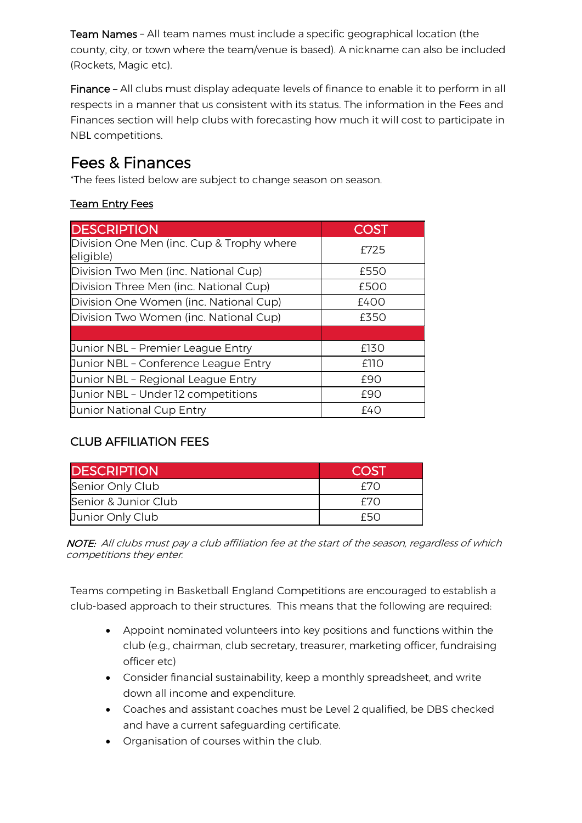Team Names – All team names must include a specific geographical location (the county, city, or town where the team/venue is based). A nickname can also be included (Rockets, Magic etc).

Finance – All clubs must display adequate levels of finance to enable it to perform in all respects in a manner that us consistent with its status. The information in the Fees and Finances section will help clubs with forecasting how much it will cost to participate in NBL competitions.

## Fees & Finances

\*The fees listed below are subject to change season on season.

#### Team Entry Fees

| <b>DESCRIPTION</b>                                     | <b>COST</b> |
|--------------------------------------------------------|-------------|
| Division One Men (inc. Cup & Trophy where<br>eligible) | £725        |
| Division Two Men (inc. National Cup)                   | £550        |
| Division Three Men (inc. National Cup)                 | £500        |
| Division One Women (inc. National Cup)                 | f400        |
| Division Two Women (inc. National Cup)                 | £350        |
|                                                        |             |
| Junior NBL - Premier League Entry                      | £130        |
| Junior NBL - Conference League Entry                   | £110        |
| Junior NBL - Regional League Entry                     | £90         |
| Junior NBL - Under 12 competitions                     | £90         |
| Junior National Cup Entry                              | £40         |

### CLUB AFFILIATION FEES

| <b>DESCRIPTION</b>   | <b>COST</b> |
|----------------------|-------------|
| Senior Only Club     | F7N         |
| Senior & Junior Club | F7N         |
| Junior Only Club     | F50         |

NOTE: All clubs must pay a club affiliation fee at the start of the season, regardless of which competitions they enter.

Teams competing in Basketball England Competitions are encouraged to establish a club-based approach to their structures. This means that the following are required:

- Appoint nominated volunteers into key positions and functions within the club (e.g., chairman, club secretary, treasurer, marketing officer, fundraising officer etc)
- Consider financial sustainability, keep a monthly spreadsheet, and write down all income and expenditure.
- Coaches and assistant coaches must be Level 2 qualified, be DBS checked and have a current safeguarding certificate.
- Organisation of courses within the club.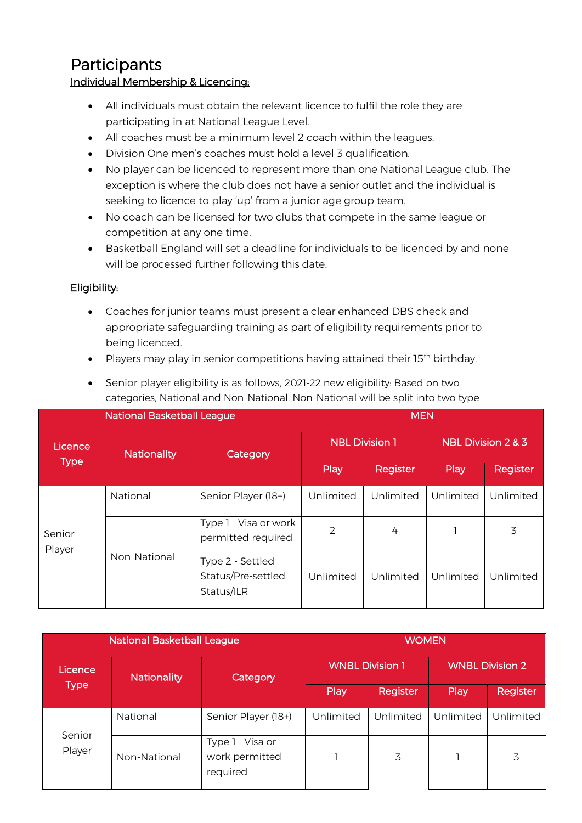### **Participants**

#### Individual Membership & Licencing:

- All individuals must obtain the relevant licence to fulfil the role they are participating in at National League Level.
- All coaches must be a minimum level 2 coach within the leagues.
- Division One men's coaches must hold a level 3 qualification.
- No player can be licenced to represent more than one National League club. The exception is where the club does not have a senior outlet and the individual is seeking to licence to play 'up' from a junior age group team.
- No coach can be licensed for two clubs that compete in the same league or competition at any one time.
- Basketball England will set a deadline for individuals to be licenced by and none will be processed further following this date.

#### Eligibility:

- Coaches for junior teams must present a clear enhanced DBS check and appropriate safeguarding training as part of eligibility requirements prior to being licenced.
- Players may play in senior competitions having attained their 15<sup>th</sup> birthday.

| <b>National Basketball League</b> |                    | <b>MEN</b>                                           |                       |           |                    |           |
|-----------------------------------|--------------------|------------------------------------------------------|-----------------------|-----------|--------------------|-----------|
| Licence                           | <b>Nationality</b> | Category                                             | <b>NBL Division 1</b> |           | NBL Division 2 & 3 |           |
| <b>Type</b>                       |                    |                                                      | Play                  | Register  | Play               | Register  |
|                                   | National           | Senior Player (18+)                                  | Unlimited             | Unlimited | Unlimited          | Unlimited |
| Senior<br>Player                  |                    | Type 1 - Visa or work<br>permitted required          | 2                     | 4         |                    | 3         |
|                                   | Non-National       | Type 2 - Settled<br>Status/Pre-settled<br>Status/ILR | Unlimited             | Unlimited | Unlimited          | Unlimited |

• Senior player eligibility is as follows, 2021-22 new eligibility: Based on two categories, National and Non-National. Non-National will be split into two type

| <b>National Basketball League</b> |                    |                                                | <b>WOMEN</b>           |           |                        |           |
|-----------------------------------|--------------------|------------------------------------------------|------------------------|-----------|------------------------|-----------|
| Licence                           | <b>Nationality</b> | Category                                       | <b>WNBL Division 1</b> |           | <b>WNBL Division 2</b> |           |
| <b>Type</b>                       |                    |                                                | Play                   | Register  | Play                   | Register  |
|                                   | National           | Senior Player (18+)                            | Unlimited              | Unlimited | Unlimited              | Unlimited |
| Senior<br>Player                  | Non-National       | Type 1 - Visa or<br>work permitted<br>required |                        | 3         |                        | 3         |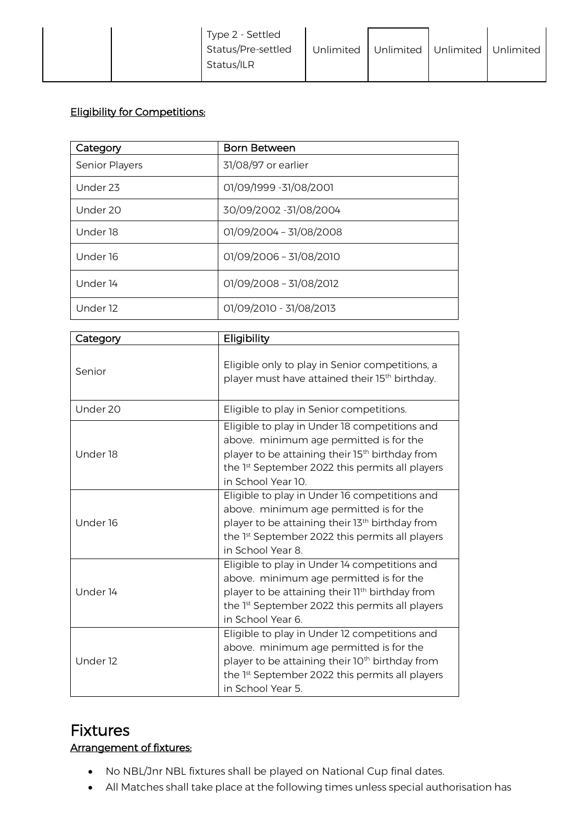| Type 2 - Settled<br>Status/Pre-settled<br>Status/ILR | Unlimited | Unlimited Unlimited Unlimited |  |  |
|------------------------------------------------------|-----------|-------------------------------|--|--|
|------------------------------------------------------|-----------|-------------------------------|--|--|

#### Eligibility for Competitions:

| Category              | <b>Born Between</b>     |
|-----------------------|-------------------------|
| <b>Senior Players</b> | 31/08/97 or earlier     |
| Under <sub>23</sub>   | 01/09/1999 -31/08/2001  |
| Under 20              | 30/09/2002 -31/08/2004  |
| Under 18              | 01/09/2004 - 31/08/2008 |
| Under 16              | 01/09/2006 - 31/08/2010 |
| Under 14              | 01/09/2008 - 31/08/2012 |
| Under 12              | 01/09/2010 - 31/08/2013 |

| Category | Eligibility                                                                                                                                                                                                                                 |
|----------|---------------------------------------------------------------------------------------------------------------------------------------------------------------------------------------------------------------------------------------------|
| Senior   | Eligible only to play in Senior competitions, a<br>player must have attained their 15 <sup>th</sup> birthday.                                                                                                                               |
| Under 20 | Eligible to play in Senior competitions.                                                                                                                                                                                                    |
| Under 18 | Eligible to play in Under 18 competitions and<br>above. minimum age permitted is for the<br>player to be attaining their 15 <sup>th</sup> birthday from<br>the 1st September 2022 this permits all players<br>in School Year 10.            |
| Under 16 | Eligible to play in Under 16 competitions and<br>above. minimum age permitted is for the<br>player to be attaining their 13 <sup>th</sup> birthday from<br>the 1st September 2022 this permits all players<br>in School Year 8.             |
| Under 14 | Eligible to play in Under 14 competitions and<br>above. minimum age permitted is for the<br>player to be attaining their 11 <sup>th</sup> birthday from<br>the 1 <sup>st</sup> September 2022 this permits all players<br>in School Year 6. |
| Under 12 | Eligible to play in Under 12 competitions and<br>above. minimum age permitted is for the<br>player to be attaining their 10 <sup>th</sup> birthday from<br>the 1st September 2022 this permits all players<br>in School Year 5.             |

### Fixtures

#### Arrangement of fixtures:

- No NBL/Jnr NBL fixtures shall be played on National Cup final dates.
- All Matches shall take place at the following times unless special authorisation has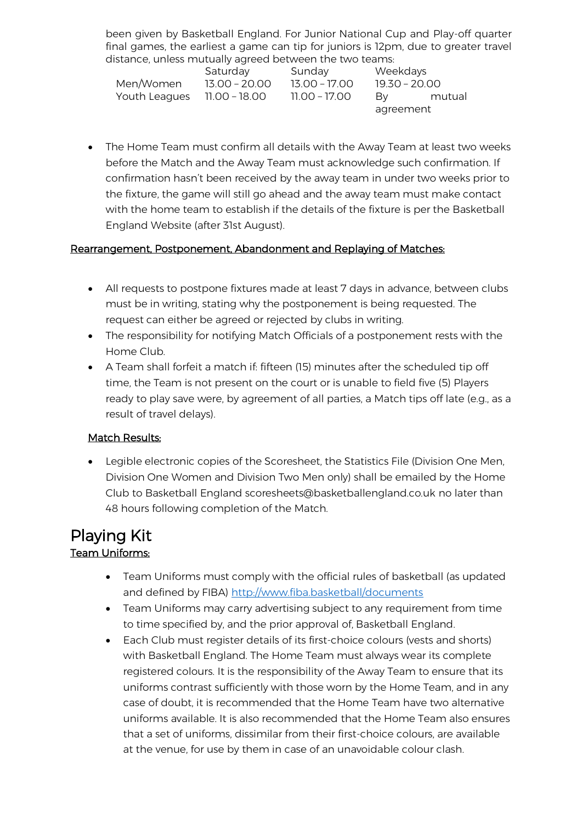been given by Basketball England. For Junior National Cup and Play-off quarter final games, the earliest a game can tip for juniors is 12pm, due to greater travel distance, unless mutually agreed between the two teams:

|               | Saturday        | Sunday        | Weekdays        |  |
|---------------|-----------------|---------------|-----------------|--|
| Men/Women     | $13.00 - 20.00$ | 13.00 – 17.00 | $19.30 - 20.00$ |  |
| Youth Leagues | 11.00 - 18.00   | 11.00 - 17.00 | mutual<br>Bv    |  |
|               |                 |               | agreement       |  |

• The Home Team must confirm all details with the Away Team at least two weeks before the Match and the Away Team must acknowledge such confirmation. If confirmation hasn't been received by the away team in under two weeks prior to the fixture, the game will still go ahead and the away team must make contact with the home team to establish if the details of the fixture is per the Basketball England Website (after 31st August).

#### Rearrangement, Postponement, Abandonment and Replaying of Matches:

- All requests to postpone fixtures made at least 7 days in advance, between clubs must be in writing, stating why the postponement is being requested. The request can either be agreed or rejected by clubs in writing.
- The responsibility for notifying Match Officials of a postponement rests with the Home Club.
- A Team shall forfeit a match if: fifteen (15) minutes after the scheduled tip off time, the Team is not present on the court or is unable to field five (5) Players ready to play save were, by agreement of all parties, a Match tips off late (e.g., as a result of travel delays).

#### Match Results:

• Legible electronic copies of the Scoresheet, the Statistics File (Division One Men, Division One Women and Division Two Men only) shall be emailed by the Home Club to Basketball England scoresheets@basketballengland.co.uk no later than 48 hours following completion of the Match.

### Playing Kit Team Uniforms:

- Team Uniforms must comply with the official rules of basketball (as updated and defined by FIBA)<http://www.fiba.basketball/documents>
- Team Uniforms may carry advertising subject to any requirement from time to time specified by, and the prior approval of, Basketball England.
- Each Club must register details of its first-choice colours (vests and shorts) with Basketball England. The Home Team must always wear its complete registered colours. It is the responsibility of the Away Team to ensure that its uniforms contrast sufficiently with those worn by the Home Team, and in any case of doubt, it is recommended that the Home Team have two alternative uniforms available. It is also recommended that the Home Team also ensures that a set of uniforms, dissimilar from their first-choice colours, are available at the venue, for use by them in case of an unavoidable colour clash.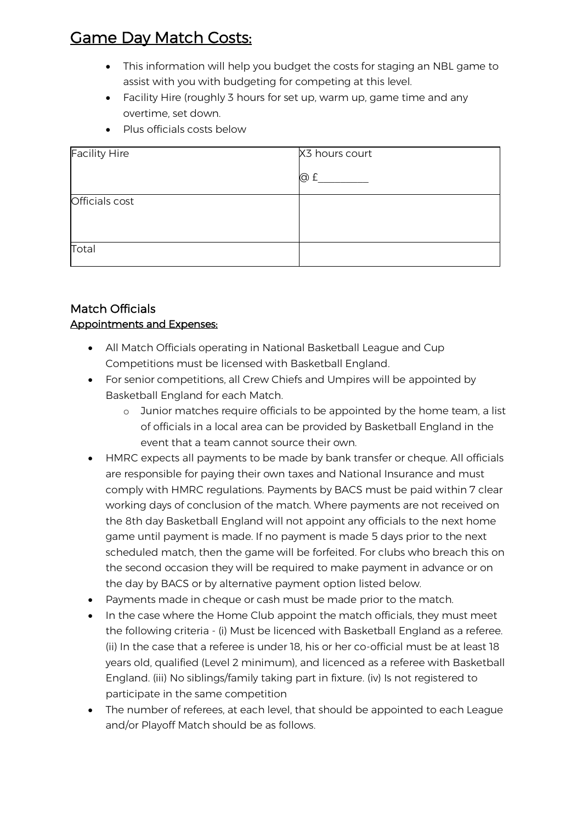## Game Day Match Costs:

- This information will help you budget the costs for staging an NBL game to assist with you with budgeting for competing at this level.
- Facility Hire (roughly 3 hours for set up, warm up, game time and any overtime, set down.
- Plus officials costs below

| <b>Facility Hire</b> | X3 hours court |
|----------------------|----------------|
|                      | @ £            |
| Officials cost       |                |
|                      |                |
| Total                |                |

#### Match Officials Appointments and Expenses:

- All Match Officials operating in National Basketball League and Cup Competitions must be licensed with Basketball England.
- For senior competitions, all Crew Chiefs and Umpires will be appointed by Basketball England for each Match.
	- o Junior matches require officials to be appointed by the home team, a list of officials in a local area can be provided by Basketball England in the event that a team cannot source their own.
- HMRC expects all payments to be made by bank transfer or cheque. All officials are responsible for paying their own taxes and National Insurance and must comply with HMRC regulations. Payments by BACS must be paid within 7 clear working days of conclusion of the match. Where payments are not received on the 8th day Basketball England will not appoint any officials to the next home game until payment is made. If no payment is made 5 days prior to the next scheduled match, then the game will be forfeited. For clubs who breach this on the second occasion they will be required to make payment in advance or on the day by BACS or by alternative payment option listed below.
- Payments made in cheque or cash must be made prior to the match.
- In the case where the Home Club appoint the match officials, they must meet the following criteria - (i) Must be licenced with Basketball England as a referee. (ii) In the case that a referee is under 18, his or her co-official must be at least 18 years old, qualified (Level 2 minimum), and licenced as a referee with Basketball England. (iii) No siblings/family taking part in fixture. (iv) Is not registered to participate in the same competition
- The number of referees, at each level, that should be appointed to each League and/or Playoff Match should be as follows.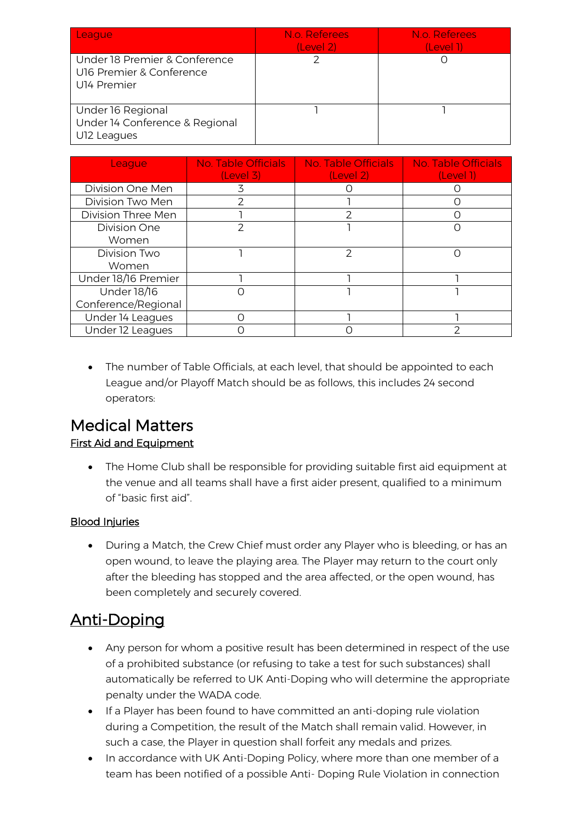| League                                                                         | N.o. Referees<br>(Level 2) | N.o. Referees<br>(Level 1) |
|--------------------------------------------------------------------------------|----------------------------|----------------------------|
| Under 18 Premier & Conference<br>U16 Premier & Conference<br>U14 Premier       |                            |                            |
| Under 16 Regional<br>Under 14 Conference & Regional<br>U <sub>12</sub> Leagues |                            |                            |

| League              | No. Table Officials<br>(Level 3) | No. Table Officials<br>(Level 2) | <b>No. Table Officials</b><br>(Level 1) |
|---------------------|----------------------------------|----------------------------------|-----------------------------------------|
| Division One Men    | 3                                |                                  |                                         |
| Division Two Men    | っ                                |                                  |                                         |
| Division Three Men  |                                  |                                  |                                         |
| <b>Division One</b> |                                  |                                  |                                         |
| Women               |                                  |                                  |                                         |
| Division Two        |                                  | 2                                | ( )                                     |
| Women               |                                  |                                  |                                         |
| Under 18/16 Premier |                                  |                                  |                                         |
| Under 18/16         |                                  |                                  |                                         |
| Conference/Regional |                                  |                                  |                                         |
| Under 14 Leagues    |                                  |                                  |                                         |
| Under 12 Leagues    |                                  |                                  |                                         |

• The number of Table Officials, at each level, that should be appointed to each League and/or Playoff Match should be as follows, this includes 24 second operators:

### Medical Matters First Aid and Equipment

• The Home Club shall be responsible for providing suitable first aid equipment at the venue and all teams shall have a first aider present, qualified to a minimum of "basic first aid".

#### Blood Injuries

• During a Match, the Crew Chief must order any Player who is bleeding, or has an open wound, to leave the playing area. The Player may return to the court only after the bleeding has stopped and the area affected, or the open wound, has been completely and securely covered.

## Anti-Doping

- Any person for whom a positive result has been determined in respect of the use of a prohibited substance (or refusing to take a test for such substances) shall automatically be referred to UK Anti-Doping who will determine the appropriate penalty under the WADA code.
- If a Player has been found to have committed an anti-doping rule violation during a Competition, the result of the Match shall remain valid. However, in such a case, the Player in question shall forfeit any medals and prizes.
- In accordance with UK Anti-Doping Policy, where more than one member of a team has been notified of a possible Anti- Doping Rule Violation in connection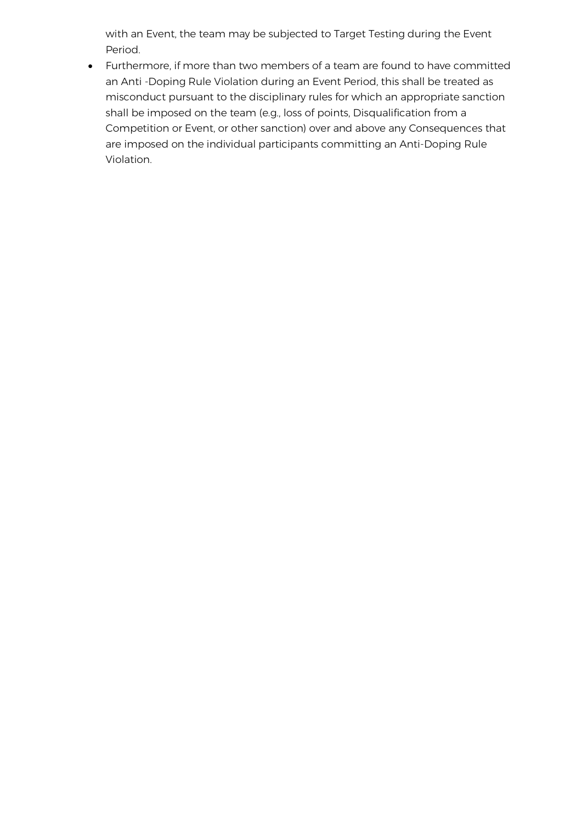with an Event, the team may be subjected to Target Testing during the Event Period.

• Furthermore, if more than two members of a team are found to have committed an Anti -Doping Rule Violation during an Event Period, this shall be treated as misconduct pursuant to the disciplinary rules for which an appropriate sanction shall be imposed on the team (e.g., loss of points, Disqualification from a Competition or Event, or other sanction) over and above any Consequences that are imposed on the individual participants committing an Anti-Doping Rule Violation.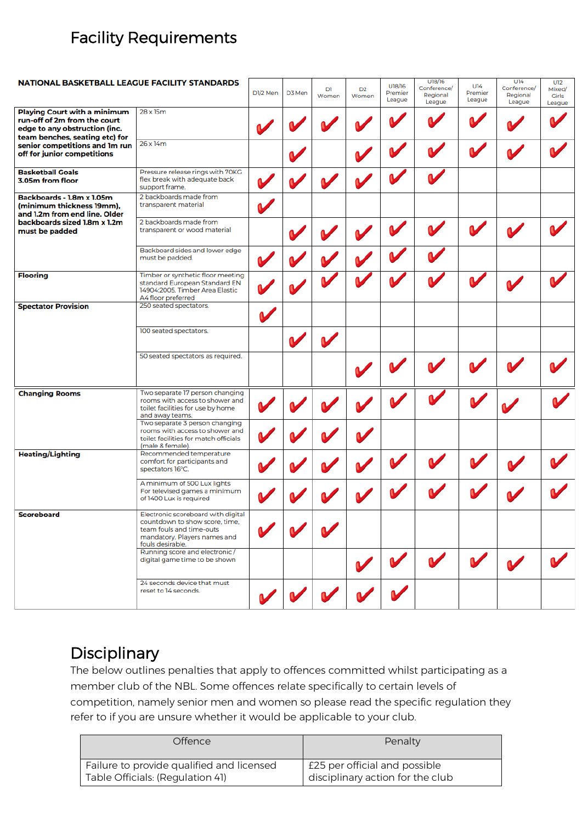## Facility Requirements

| <b>NATIONAL BASKETBALL LEAGUE FACILITY STANDARDS</b>                                                                                                                                                    |                                                                                                                                                      |          |        | Dì    | D <sub>2</sub> | U18/16            | U18/16<br>Conference/ | U14                | U14<br>Conference/ | U12<br>Mixed/          |
|---------------------------------------------------------------------------------------------------------------------------------------------------------------------------------------------------------|------------------------------------------------------------------------------------------------------------------------------------------------------|----------|--------|-------|----------------|-------------------|-----------------------|--------------------|--------------------|------------------------|
|                                                                                                                                                                                                         |                                                                                                                                                      | D1/2 Men | D3 Men | Women | Women          | Premier<br>League | Regional<br>League    | Premier<br>League  | Regional<br>League | <b>Girls</b><br>League |
| <b>Playing Court with a minimum</b><br>run-off of 2m from the court<br>edge to any obstruction (inc.<br>team benches, seating etc) for<br>senior competitions and Im run<br>off for junior competitions | 28 x 15m                                                                                                                                             |          |        |       |                |                   |                       |                    |                    |                        |
|                                                                                                                                                                                                         | $26 \times 14m$                                                                                                                                      |          |        |       |                |                   |                       |                    |                    |                        |
| <b>Basketball Goals</b><br>3.05m from floor                                                                                                                                                             | Pressure release rings with 70KG<br>flex break with adequate back<br>support frame.                                                                  |          |        |       |                |                   |                       |                    |                    |                        |
| Backboards - 1.8m x 1.05m<br>(minimum thickness 19mm),<br>and 1.2m from end line. Older<br>backboards sized 1.8m x 1.2m<br>must be padded                                                               | 2 backboards made from<br>transparent material                                                                                                       |          |        |       |                |                   |                       |                    |                    |                        |
|                                                                                                                                                                                                         | 2 backboards made from<br>transparent or wood material                                                                                               |          |        |       |                |                   |                       |                    |                    |                        |
|                                                                                                                                                                                                         | Backboard sides and lower edge<br>must be padded.                                                                                                    |          |        |       |                |                   |                       |                    |                    |                        |
| <b>Flooring</b>                                                                                                                                                                                         | Timber or synthetic floor meeting<br>standard European Standard EN<br>14904:2005. Timber Area Elastic<br>A4 floor preferred                          |          |        |       |                |                   |                       |                    |                    |                        |
| <b>Spectator Provision</b>                                                                                                                                                                              | 250 seated spectators.                                                                                                                               |          |        |       |                |                   |                       |                    |                    |                        |
|                                                                                                                                                                                                         | 100 seated spectators.                                                                                                                               |          |        |       |                |                   |                       |                    |                    |                        |
|                                                                                                                                                                                                         | 50 seated spectators as required.                                                                                                                    |          |        |       |                |                   |                       |                    |                    |                        |
| <b>Changing Rooms</b>                                                                                                                                                                                   | Two separate 17 person changing<br>rooms with access to shower and<br>toilet facilities for use by home<br>and away teams.                           |          |        |       |                |                   |                       |                    |                    |                        |
|                                                                                                                                                                                                         | Two separate 3 person changing<br>rooms with access to shower and<br>toilet facilities for match officials<br>(male & female).                       |          |        |       |                |                   |                       |                    |                    |                        |
| <b>Heating/Lighting</b>                                                                                                                                                                                 | Recommended temperature<br>comfort for participants and<br>spectators 16°C.                                                                          |          |        |       |                |                   |                       |                    |                    |                        |
|                                                                                                                                                                                                         | A minimum of 500 Lux lights<br>For televised games a minimum<br>of 1400 Lux is required                                                              |          |        |       |                |                   |                       |                    |                    |                        |
| <b>Scoreboard</b>                                                                                                                                                                                       | Electronic scoreboard with digital<br>countdown to show score, time,<br>team fouls and time-outs<br>mandatory. Players names and<br>fouls desirable. |          |        |       |                |                   |                       |                    |                    |                        |
|                                                                                                                                                                                                         | Running score and electronic /<br>digital game time to be shown                                                                                      |          |        |       |                |                   | $\mathbf{v}$          | $\boldsymbol{\nu}$ |                    |                        |
|                                                                                                                                                                                                         | 24 seconds device that must<br>reset to 14 seconds.                                                                                                  |          |        |       |                |                   |                       |                    |                    |                        |

## **Disciplinary**

The below outlines penalties that apply to offences committed whilst participating as a member club of the NBL. Some offences relate specifically to certain levels of competition, namely senior men and women so please read the specific regulation they refer to if you are unsure whether it would be applicable to your club.

| <b>Offence</b>                            | Penalty                          |
|-------------------------------------------|----------------------------------|
| Failure to provide qualified and licensed | £25 per official and possible    |
| Table Officials: (Regulation 41)          | disciplinary action for the club |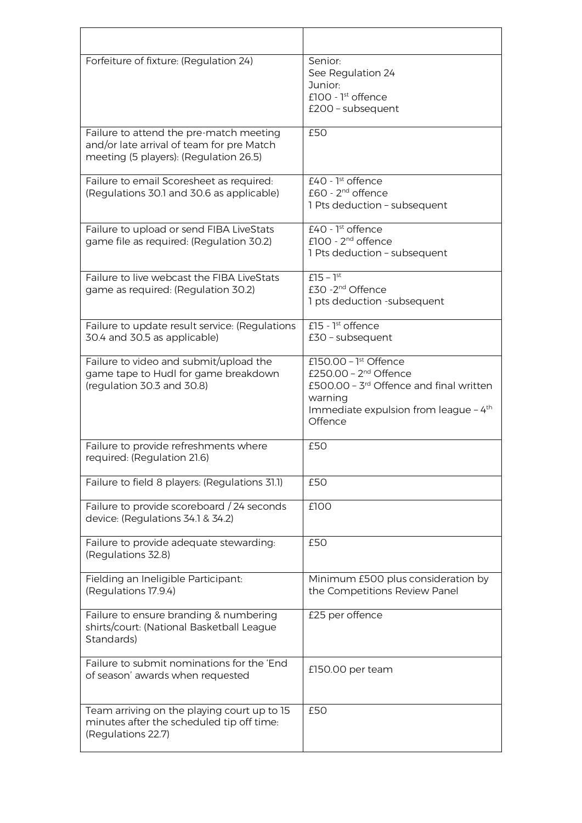| Forfeiture of fixture: (Regulation 24)                                                                                         | Senior:<br>See Regulation 24<br>Junior:<br>£100 - $1st$ offence<br>£200 - subsequent                                                                                                  |
|--------------------------------------------------------------------------------------------------------------------------------|---------------------------------------------------------------------------------------------------------------------------------------------------------------------------------------|
| Failure to attend the pre-match meeting<br>and/or late arrival of team for pre Match<br>meeting (5 players): (Regulation 26.5) | £50                                                                                                                                                                                   |
| Failure to email Scoresheet as required:<br>(Regulations 30.1 and 30.6 as applicable)                                          | £40 - $1st$ offence<br>£60 - 2 <sup>nd</sup> offence<br>1 Pts deduction - subsequent                                                                                                  |
| Failure to upload or send FIBA LiveStats<br>game file as required: (Regulation 30.2)                                           | $£40 - ]st$ offence<br>£100 - $2nd$ offence<br>1 Pts deduction - subsequent                                                                                                           |
| Failure to live webcast the FIBA LiveStats<br>game as required: (Regulation 30.2)                                              | $f15 - 1^{st}$<br>£30 -2 <sup>nd</sup> Offence<br>1 pts deduction -subsequent                                                                                                         |
| Failure to update result service: (Regulations<br>30.4 and 30.5 as applicable)                                                 | £15 - $1st$ offence<br>$E30$ - subsequent                                                                                                                                             |
| Failure to video and submit/upload the<br>game tape to Hudl for game breakdown<br>(regulation 30.3 and 30.8)                   | £150.00 - $\overline{1^{st}$ Offence<br>£250.00 - $2nd$ Offence<br>£500.00 - 3rd Offence and final written<br>warning<br>Immediate expulsion from league - 4 <sup>th</sup><br>Offence |
| Failure to provide refreshments where<br>required: (Regulation 21.6)                                                           | £50                                                                                                                                                                                   |
| Failure to field 8 players: (Regulations 31.1)                                                                                 | £50                                                                                                                                                                                   |
| Failure to provide scoreboard / 24 seconds<br>device: (Regulations 34.1 & 34.2)                                                | £100                                                                                                                                                                                  |
| Failure to provide adequate stewarding:<br>(Regulations 32.8)                                                                  | £50                                                                                                                                                                                   |
| Fielding an Ineligible Participant:<br>(Regulations 17.9.4)                                                                    | Minimum £500 plus consideration by<br>the Competitions Review Panel                                                                                                                   |
| Failure to ensure branding & numbering<br>shirts/court: (National Basketball League<br>Standards)                              | £25 per offence                                                                                                                                                                       |
| Failure to submit nominations for the 'End<br>of season' awards when requested                                                 | £150.00 per team                                                                                                                                                                      |
| Team arriving on the playing court up to 15<br>minutes after the scheduled tip off time:<br>(Regulations 22.7)                 | £50                                                                                                                                                                                   |